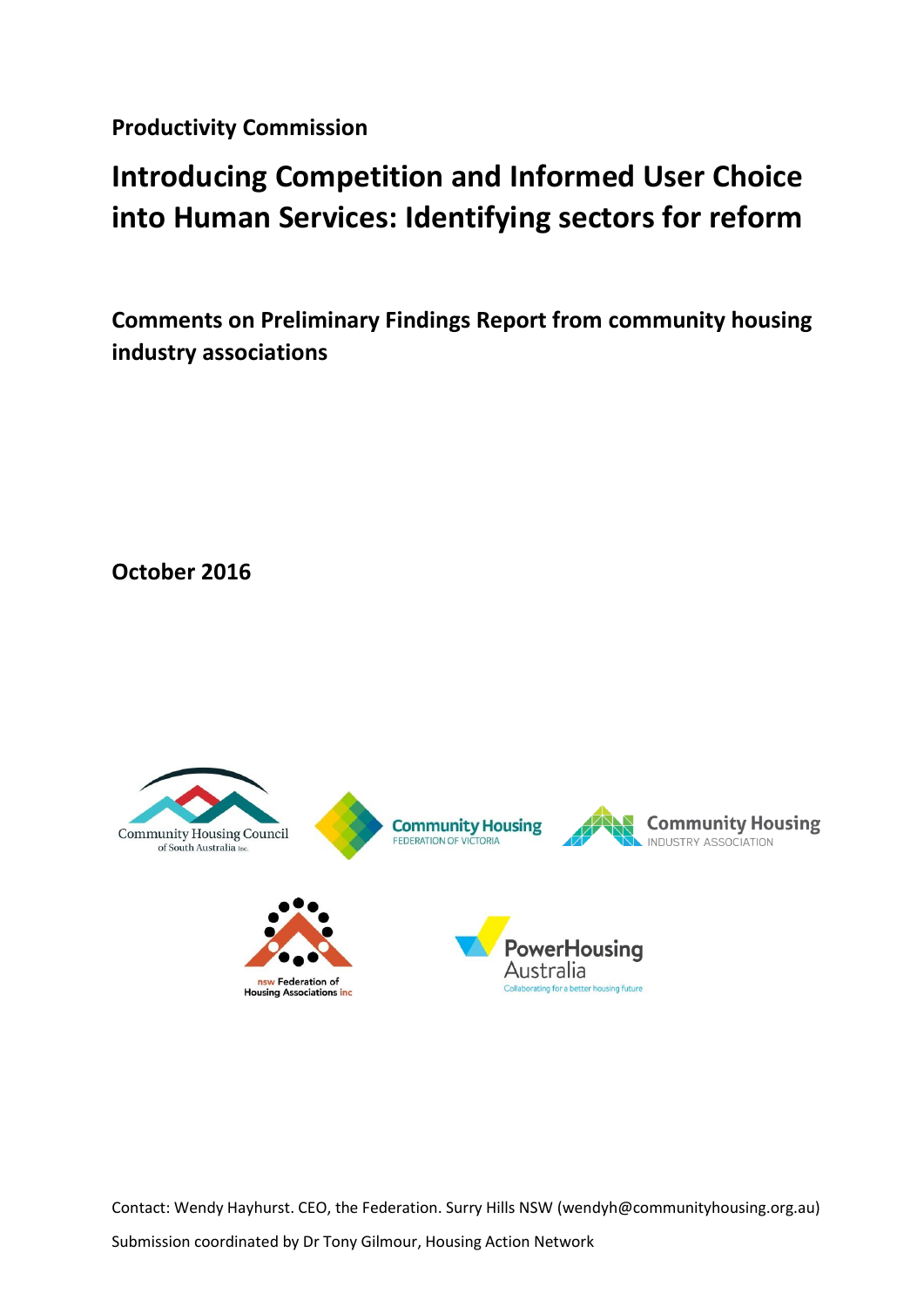**Productivity Commission**

# **Introducing Competition and Informed User Choice into Human Services: Identifying sectors for reform**

**Comments on Preliminary Findings Report from community housing industry associations**

**October 2016**



Contact: Wendy Hayhurst. CEO, the Federation. Surry Hills NSW (wendyh@communityhousing.org.au)

Submission coordinated by Dr Tony Gilmour, Housing Action Network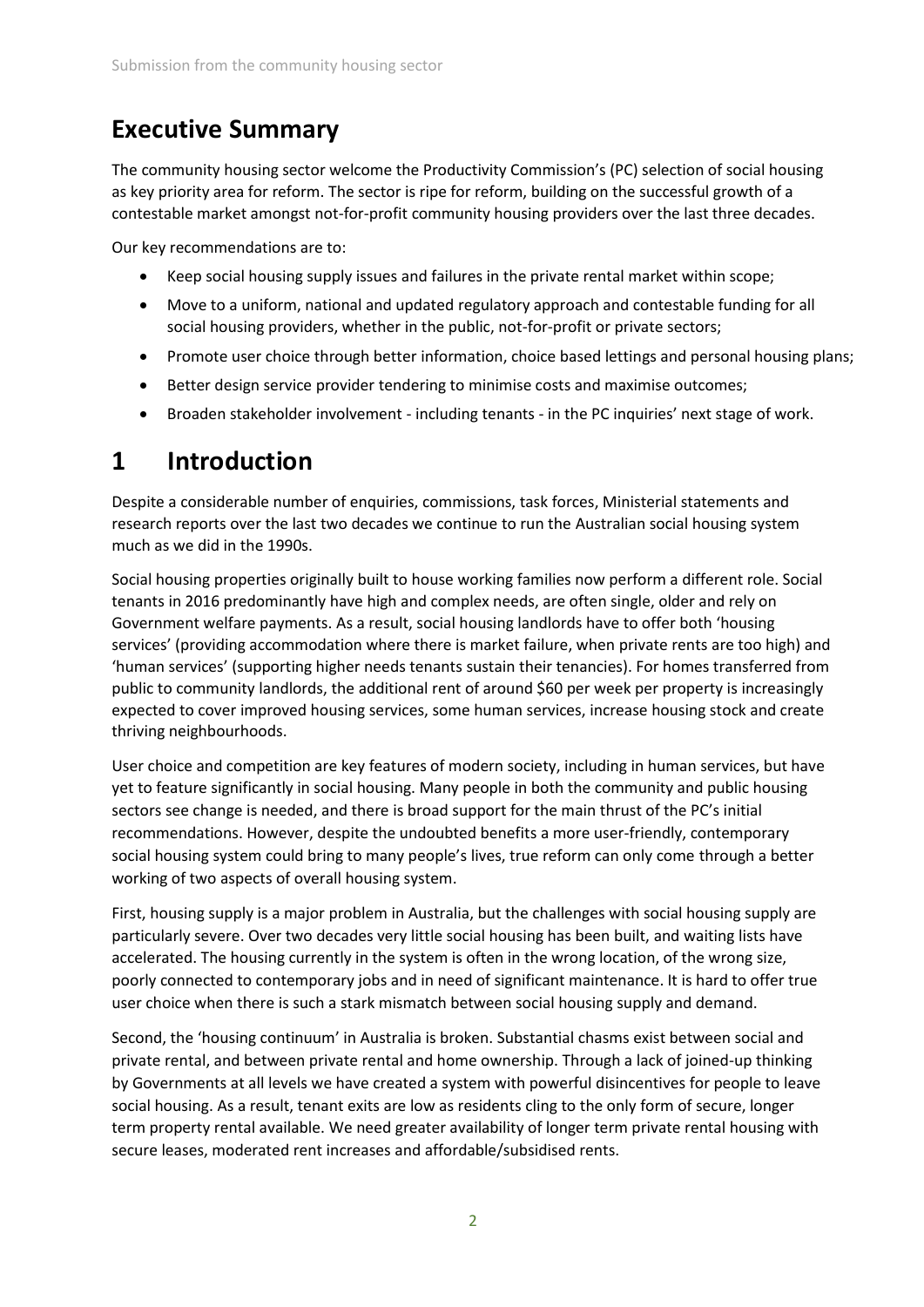## **Executive Summary**

The community housing sector welcome the Productivity Commission's (PC) selection of social housing as key priority area for reform. The sector is ripe for reform, building on the successful growth of a contestable market amongst not-for-profit community housing providers over the last three decades.

Our key recommendations are to:

- Keep social housing supply issues and failures in the private rental market within scope;
- Move to a uniform, national and updated regulatory approach and contestable funding for all social housing providers, whether in the public, not-for-profit or private sectors;
- Promote user choice through better information, choice based lettings and personal housing plans;
- Better design service provider tendering to minimise costs and maximise outcomes;
- Broaden stakeholder involvement including tenants in the PC inquiries' next stage of work.

## **1 Introduction**

Despite a considerable number of enquiries, commissions, task forces, Ministerial statements and research reports over the last two decades we continue to run the Australian social housing system much as we did in the 1990s.

Social housing properties originally built to house working families now perform a different role. Social tenants in 2016 predominantly have high and complex needs, are often single, older and rely on Government welfare payments. As a result, social housing landlords have to offer both 'housing services' (providing accommodation where there is market failure, when private rents are too high) and 'human services' (supporting higher needs tenants sustain their tenancies). For homes transferred from public to community landlords, the additional rent of around \$60 per week per property is increasingly expected to cover improved housing services, some human services, increase housing stock and create thriving neighbourhoods.

User choice and competition are key features of modern society, including in human services, but have yet to feature significantly in social housing. Many people in both the community and public housing sectors see change is needed, and there is broad support for the main thrust of the PC's initial recommendations. However, despite the undoubted benefits a more user-friendly, contemporary social housing system could bring to many people's lives, true reform can only come through a better working of two aspects of overall housing system.

First, housing supply is a major problem in Australia, but the challenges with social housing supply are particularly severe. Over two decades very little social housing has been built, and waiting lists have accelerated. The housing currently in the system is often in the wrong location, of the wrong size, poorly connected to contemporary jobs and in need of significant maintenance. It is hard to offer true user choice when there is such a stark mismatch between social housing supply and demand.

Second, the 'housing continuum' in Australia is broken. Substantial chasms exist between social and private rental, and between private rental and home ownership. Through a lack of joined-up thinking by Governments at all levels we have created a system with powerful disincentives for people to leave social housing. As a result, tenant exits are low as residents cling to the only form of secure, longer term property rental available. We need greater availability of longer term private rental housing with secure leases, moderated rent increases and affordable/subsidised rents.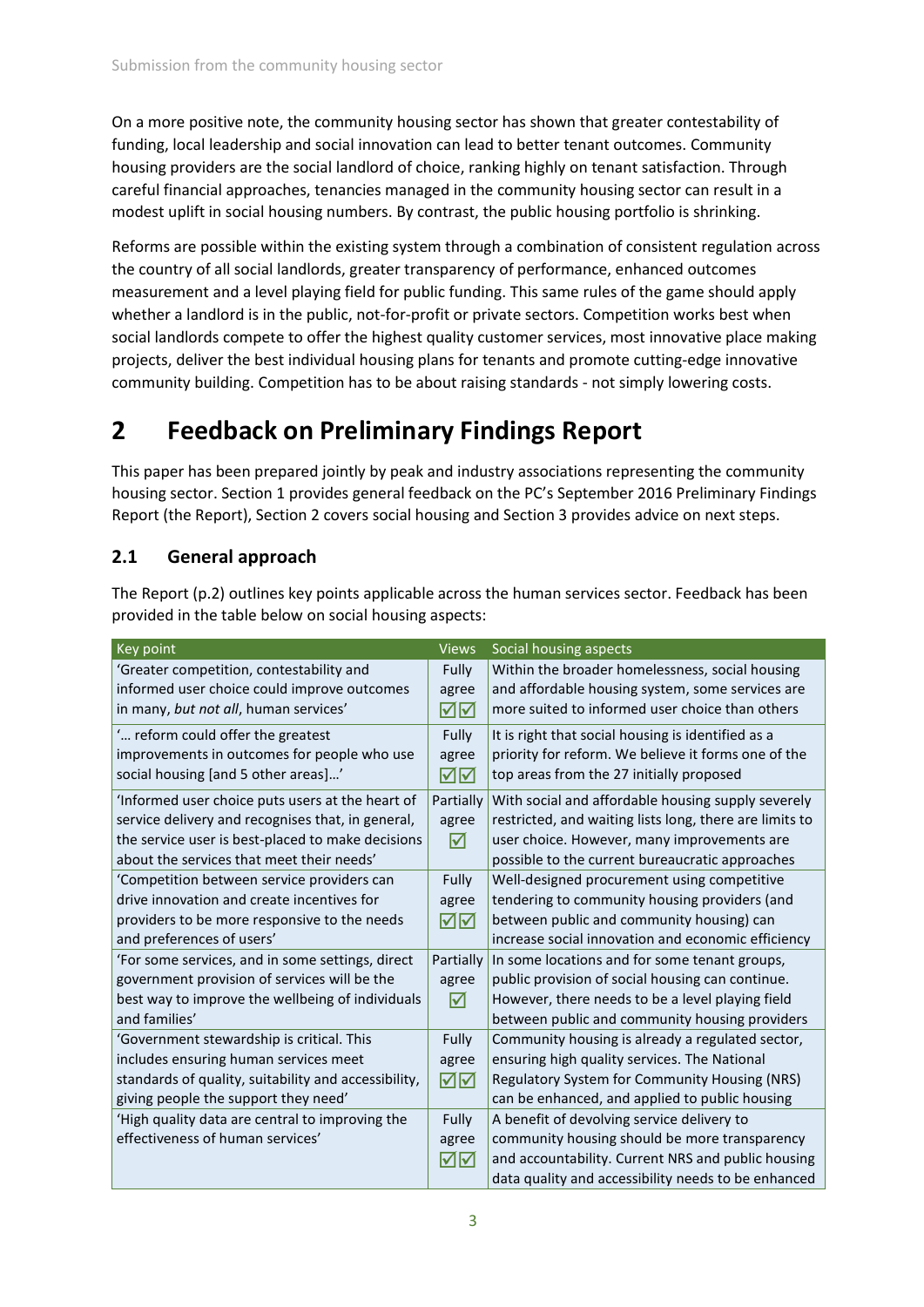On a more positive note, the community housing sector has shown that greater contestability of funding, local leadership and social innovation can lead to better tenant outcomes. Community housing providers are the social landlord of choice, ranking highly on tenant satisfaction. Through careful financial approaches, tenancies managed in the community housing sector can result in a modest uplift in social housing numbers. By contrast, the public housing portfolio is shrinking.

Reforms are possible within the existing system through a combination of consistent regulation across the country of all social landlords, greater transparency of performance, enhanced outcomes measurement and a level playing field for public funding. This same rules of the game should apply whether a landlord is in the public, not-for-profit or private sectors. Competition works best when social landlords compete to offer the highest quality customer services, most innovative place making projects, deliver the best individual housing plans for tenants and promote cutting-edge innovative community building. Competition has to be about raising standards - not simply lowering costs.

## **2 Feedback on Preliminary Findings Report**

This paper has been prepared jointly by peak and industry associations representing the community housing sector. Section 1 provides general feedback on the PC's September 2016 Preliminary Findings Report (the Report), Section 2 covers social housing and Section 3 provides advice on next steps.

## **2.1 General approach**

The Report (p.2) outlines key points applicable across the human services sector. Feedback has been provided in the table below on social housing aspects:

| Key point                                            | <b>Views</b> | Social housing aspects                                  |
|------------------------------------------------------|--------------|---------------------------------------------------------|
| 'Greater competition, contestability and             | Fully        | Within the broader homelessness, social housing         |
| informed user choice could improve outcomes          | agree        | and affordable housing system, some services are        |
| in many, but not all, human services'                | ☑⊠           | more suited to informed user choice than others         |
| reform could offer the greatest                      | Fully        | It is right that social housing is identified as a      |
| improvements in outcomes for people who use          | agree        | priority for reform. We believe it forms one of the     |
| social housing [and 5 other areas]'                  | ⊠⊠           | top areas from the 27 initially proposed                |
| 'Informed user choice puts users at the heart of     | Partially    | With social and affordable housing supply severely      |
| service delivery and recognises that, in general,    | agree        | restricted, and waiting lists long, there are limits to |
| the service user is best-placed to make decisions    | ☑            | user choice. However, many improvements are             |
| about the services that meet their needs'            |              | possible to the current bureaucratic approaches         |
| 'Competition between service providers can           | Fully        | Well-designed procurement using competitive             |
| drive innovation and create incentives for           | agree        | tendering to community housing providers (and           |
| providers to be more responsive to the needs         | ☑⊠           | between public and community housing) can               |
| and preferences of users'                            |              | increase social innovation and economic efficiency      |
| 'For some services, and in some settings, direct     | Partially    | In some locations and for some tenant groups,           |
| government provision of services will be the         | agree        | public provision of social housing can continue.        |
| best way to improve the wellbeing of individuals     | ⋈            | However, there needs to be a level playing field        |
| and families'                                        |              | between public and community housing providers          |
| 'Government stewardship is critical. This            | Fully        | Community housing is already a regulated sector,        |
| includes ensuring human services meet                | agree        | ensuring high quality services. The National            |
| standards of quality, suitability and accessibility, | ☑⊠           | Regulatory System for Community Housing (NRS)           |
| giving people the support they need'                 |              | can be enhanced, and applied to public housing          |
| 'High quality data are central to improving the      | Fully        | A benefit of devolving service delivery to              |
| effectiveness of human services'                     | agree        | community housing should be more transparency           |
|                                                      | ☑⊠           | and accountability. Current NRS and public housing      |
|                                                      |              | data quality and accessibility needs to be enhanced     |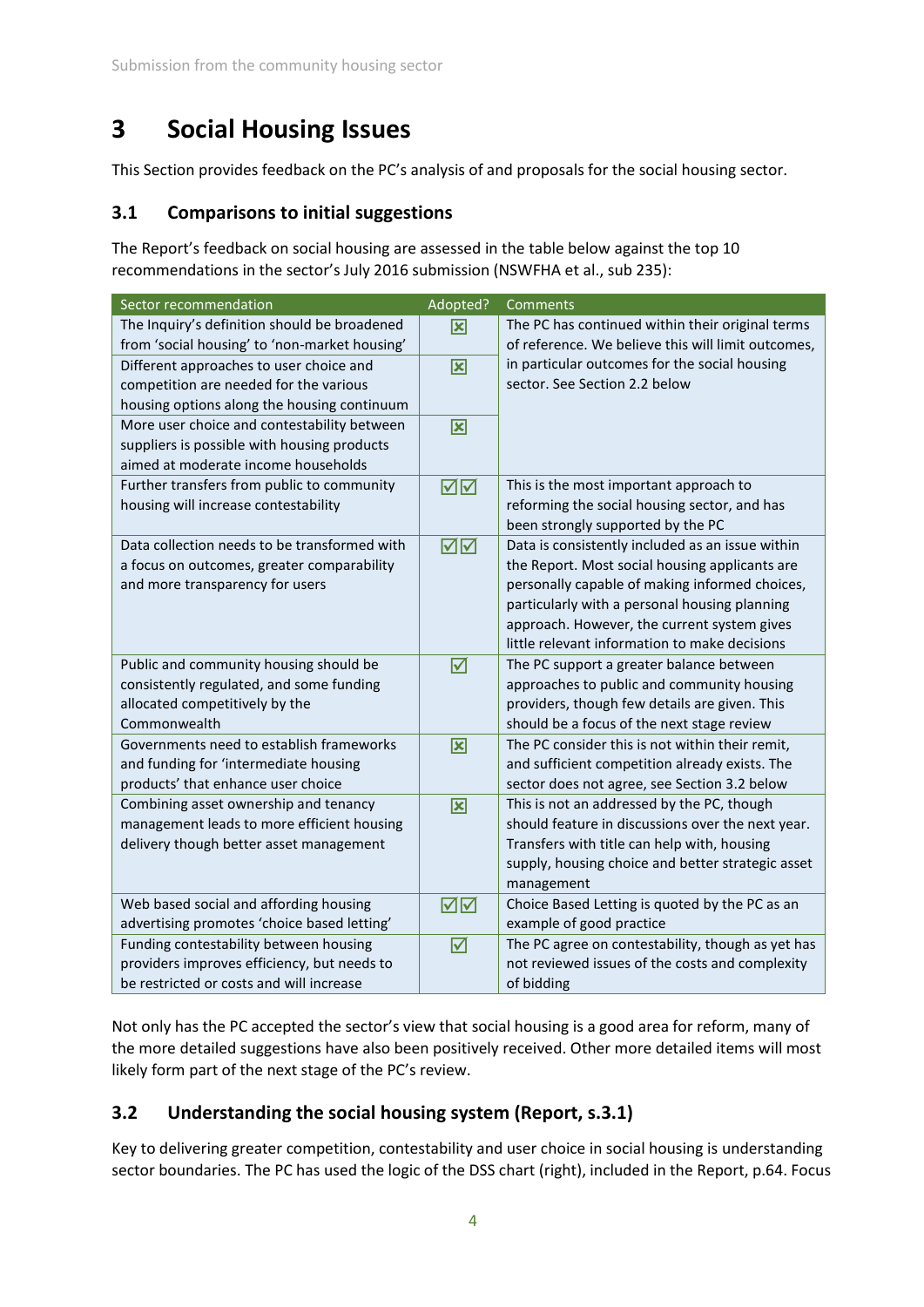## **3 Social Housing Issues**

This Section provides feedback on the PC's analysis of and proposals for the social housing sector.

### **3.1 Comparisons to initial suggestions**

The Report's feedback on social housing are assessed in the table below against the top 10 recommendations in the sector's July 2016 submission (NSWFHA et al., sub 235):

| Sector recommendation                         | Adopted?                | Comments                                           |
|-----------------------------------------------|-------------------------|----------------------------------------------------|
| The Inquiry's definition should be broadened  | 図                       | The PC has continued within their original terms   |
| from 'social housing' to 'non-market housing' |                         | of reference. We believe this will limit outcomes, |
| Different approaches to user choice and       | $\overline{\mathbf{x}}$ | in particular outcomes for the social housing      |
| competition are needed for the various        |                         | sector. See Section 2.2 below                      |
| housing options along the housing continuum   |                         |                                                    |
| More user choice and contestability between   | 図                       |                                                    |
| suppliers is possible with housing products   |                         |                                                    |
| aimed at moderate income households           |                         |                                                    |
| Further transfers from public to community    | ☑⊠                      | This is the most important approach to             |
| housing will increase contestability          |                         | reforming the social housing sector, and has       |
|                                               |                         | been strongly supported by the PC                  |
| Data collection needs to be transformed with  | ☑⊠                      | Data is consistently included as an issue within   |
| a focus on outcomes, greater comparability    |                         | the Report. Most social housing applicants are     |
| and more transparency for users               |                         | personally capable of making informed choices,     |
|                                               |                         | particularly with a personal housing planning      |
|                                               |                         | approach. However, the current system gives        |
|                                               |                         | little relevant information to make decisions      |
| Public and community housing should be        | $\triangledown$         | The PC support a greater balance between           |
| consistently regulated, and some funding      |                         | approaches to public and community housing         |
| allocated competitively by the                |                         | providers, though few details are given. This      |
| Commonwealth                                  |                         | should be a focus of the next stage review         |
| Governments need to establish frameworks      | 図                       | The PC consider this is not within their remit,    |
| and funding for 'intermediate housing         |                         | and sufficient competition already exists. The     |
| products' that enhance user choice            |                         | sector does not agree, see Section 3.2 below       |
| Combining asset ownership and tenancy         | 図                       | This is not an addressed by the PC, though         |
| management leads to more efficient housing    |                         | should feature in discussions over the next year.  |
| delivery though better asset management       |                         | Transfers with title can help with, housing        |
|                                               |                         | supply, housing choice and better strategic asset  |
|                                               |                         | management                                         |
| Web based social and affording housing        | ⊠⊠                      | Choice Based Letting is quoted by the PC as an     |
| advertising promotes 'choice based letting'   |                         | example of good practice                           |
| Funding contestability between housing        | ☑                       | The PC agree on contestability, though as yet has  |
| providers improves efficiency, but needs to   |                         | not reviewed issues of the costs and complexity    |
| be restricted or costs and will increase      |                         | of bidding                                         |

Not only has the PC accepted the sector's view that social housing is a good area for reform, many of the more detailed suggestions have also been positively received. Other more detailed items will most likely form part of the next stage of the PC's review.

## **3.2 Understanding the social housing system (Report, s.3.1)**

Key to delivering greater competition, contestability and user choice in social housing is understanding sector boundaries. The PC has used the logic of the DSS chart (right), included in the Report, p.64. Focus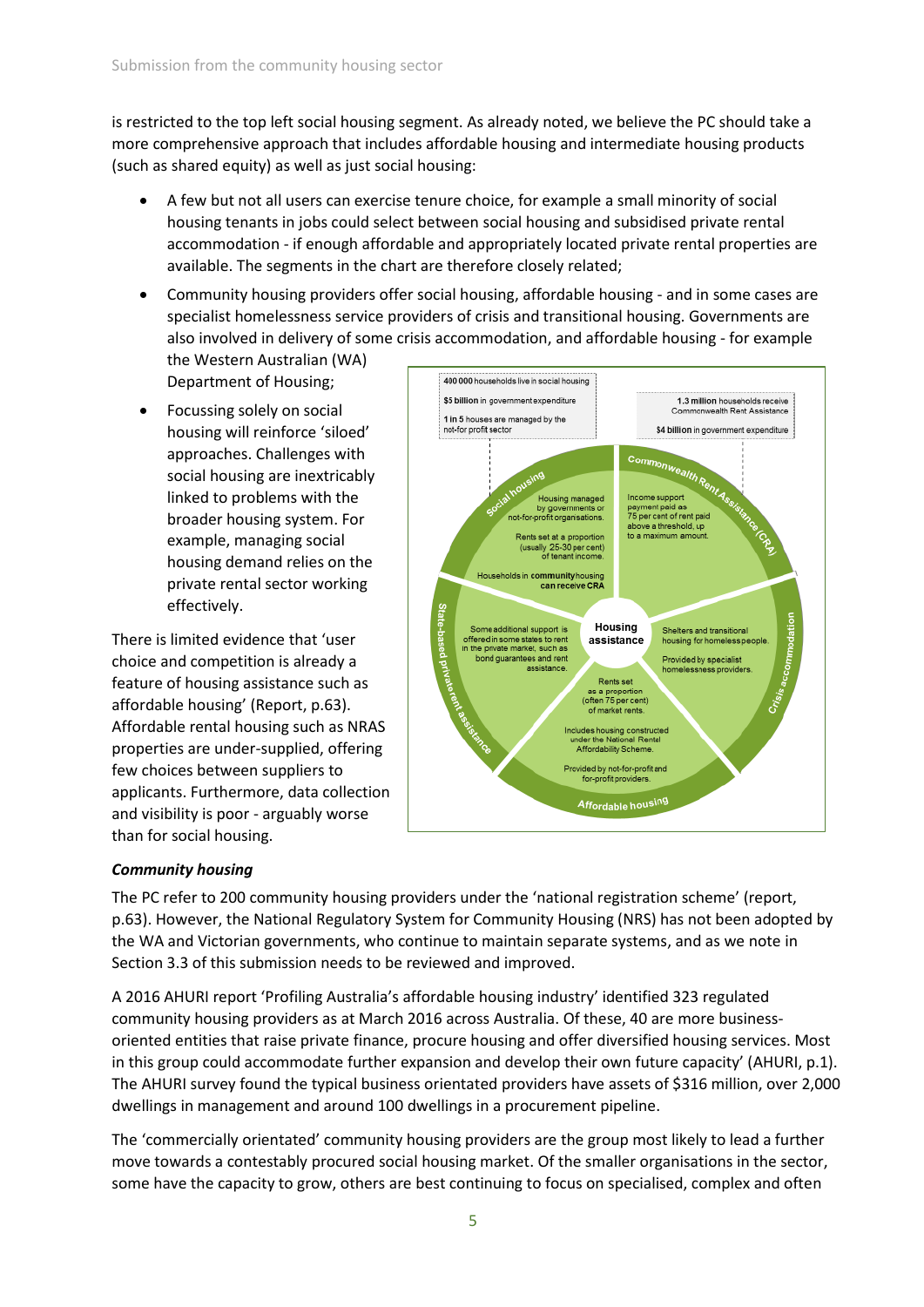is restricted to the top left social housing segment. As already noted, we believe the PC should take a more comprehensive approach that includes affordable housing and intermediate housing products (such as shared equity) as well as just social housing:

- A few but not all users can exercise tenure choice, for example a small minority of social housing tenants in jobs could select between social housing and subsidised private rental accommodation - if enough affordable and appropriately located private rental properties are available. The segments in the chart are therefore closely related;
- Community housing providers offer social housing, affordable housing and in some cases are specialist homelessness service providers of crisis and transitional housing. Governments are also involved in delivery of some crisis accommodation, and affordable housing - for example

the Western Australian (WA) Department of Housing;

• Focussing solely on social housing will reinforce 'siloed' approaches. Challenges with social housing are inextricably linked to problems with the broader housing system. For example, managing social housing demand relies on the private rental sector working effectively.

There is limited evidence that 'user choice and competition is already a feature of housing assistance such as affordable housing' (Report, p.63). Affordable rental housing such as NRAS properties are under-supplied, offering few choices between suppliers to applicants. Furthermore, data collection and visibility is poor - arguably worse than for social housing.



#### *Community housing*

The PC refer to 200 community housing providers under the 'national registration scheme' (report, p.63). However, the National Regulatory System for Community Housing (NRS) has not been adopted by the WA and Victorian governments, who continue to maintain separate systems, and as we note in Section 3.3 of this submission needs to be reviewed and improved.

A 2016 AHURI report 'Profiling Australia's affordable housing industry' identified 323 regulated community housing providers as at March 2016 across Australia. Of these, 40 are more businessoriented entities that raise private finance, procure housing and offer diversified housing services. Most in this group could accommodate further expansion and develop their own future capacity' (AHURI, p.1). The AHURI survey found the typical business orientated providers have assets of \$316 million, over 2,000 dwellings in management and around 100 dwellings in a procurement pipeline.

The 'commercially orientated' community housing providers are the group most likely to lead a further move towards a contestably procured social housing market. Of the smaller organisations in the sector, some have the capacity to grow, others are best continuing to focus on specialised, complex and often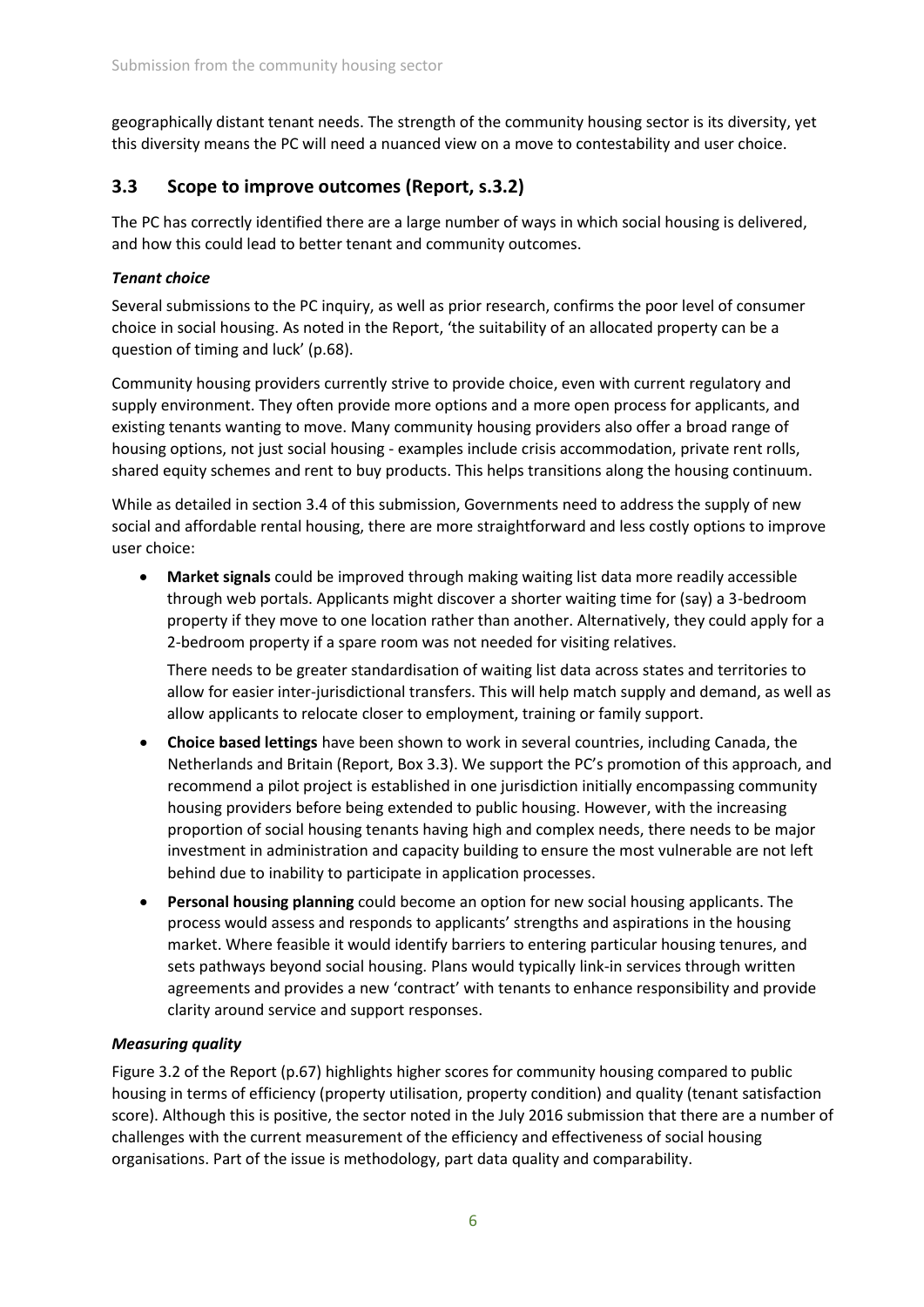geographically distant tenant needs. The strength of the community housing sector is its diversity, yet this diversity means the PC will need a nuanced view on a move to contestability and user choice.

## **3.3 Scope to improve outcomes (Report, s.3.2)**

The PC has correctly identified there are a large number of ways in which social housing is delivered, and how this could lead to better tenant and community outcomes.

#### *Tenant choice*

Several submissions to the PC inquiry, as well as prior research, confirms the poor level of consumer choice in social housing. As noted in the Report, 'the suitability of an allocated property can be a question of timing and luck' (p.68).

Community housing providers currently strive to provide choice, even with current regulatory and supply environment. They often provide more options and a more open process for applicants, and existing tenants wanting to move. Many community housing providers also offer a broad range of housing options, not just social housing - examples include crisis accommodation, private rent rolls, shared equity schemes and rent to buy products. This helps transitions along the housing continuum.

While as detailed in section 3.4 of this submission, Governments need to address the supply of new social and affordable rental housing, there are more straightforward and less costly options to improve user choice:

 **Market signals** could be improved through making waiting list data more readily accessible through web portals. Applicants might discover a shorter waiting time for (say) a 3-bedroom property if they move to one location rather than another. Alternatively, they could apply for a 2-bedroom property if a spare room was not needed for visiting relatives.

There needs to be greater standardisation of waiting list data across states and territories to allow for easier inter-jurisdictional transfers. This will help match supply and demand, as well as allow applicants to relocate closer to employment, training or family support.

- **Choice based lettings** have been shown to work in several countries, including Canada, the Netherlands and Britain (Report, Box 3.3). We support the PC's promotion of this approach, and recommend a pilot project is established in one jurisdiction initially encompassing community housing providers before being extended to public housing. However, with the increasing proportion of social housing tenants having high and complex needs, there needs to be major investment in administration and capacity building to ensure the most vulnerable are not left behind due to inability to participate in application processes.
- **Personal housing planning** could become an option for new social housing applicants. The process would assess and responds to applicants' strengths and aspirations in the housing market. Where feasible it would identify barriers to entering particular housing tenures, and sets pathways beyond social housing. Plans would typically link-in services through written agreements and provides a new 'contract' with tenants to enhance responsibility and provide clarity around service and support responses.

#### *Measuring quality*

Figure 3.2 of the Report (p.67) highlights higher scores for community housing compared to public housing in terms of efficiency (property utilisation, property condition) and quality (tenant satisfaction score). Although this is positive, the sector noted in the July 2016 submission that there are a number of challenges with the current measurement of the efficiency and effectiveness of social housing organisations. Part of the issue is methodology, part data quality and comparability.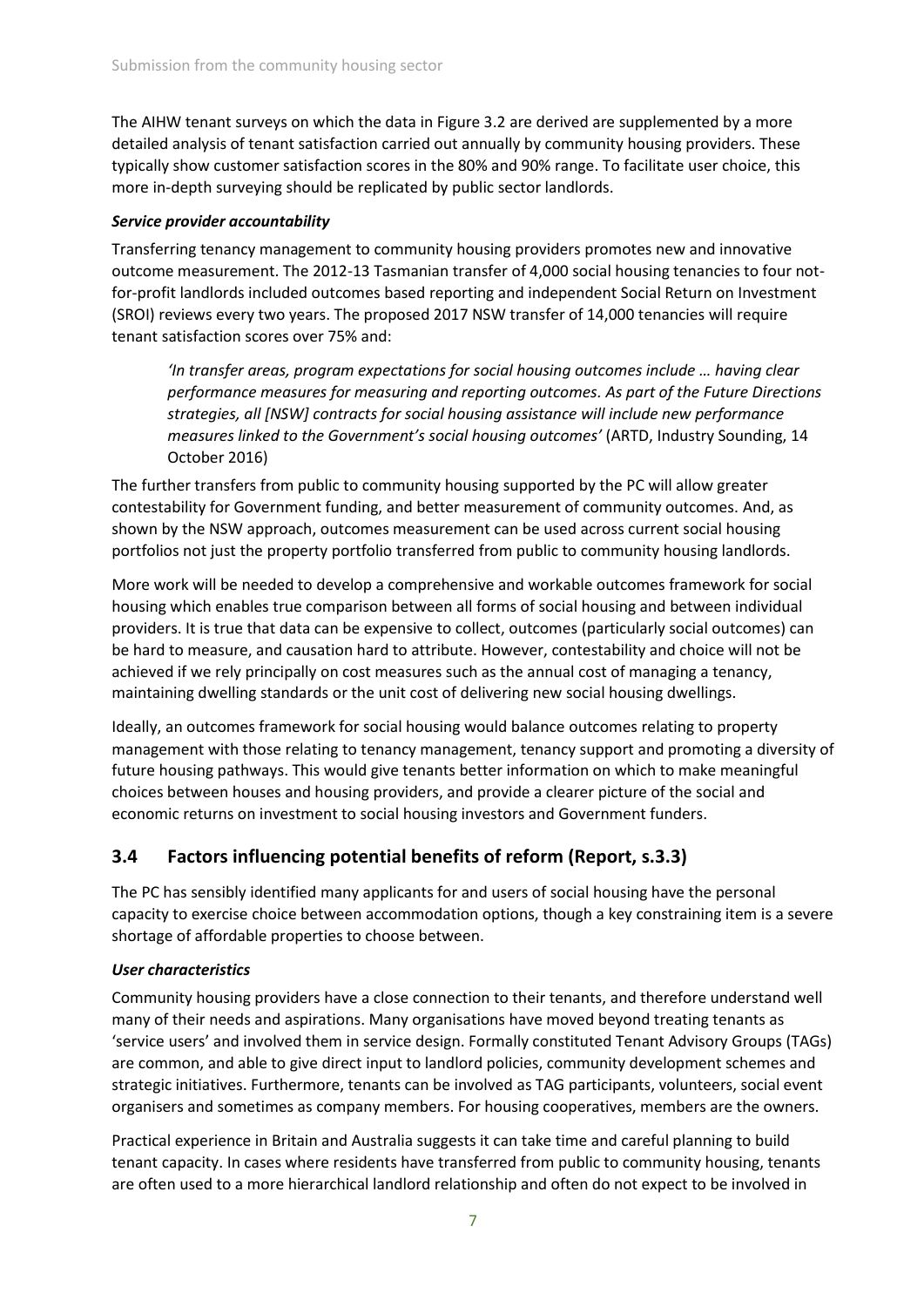The AIHW tenant surveys on which the data in Figure 3.2 are derived are supplemented by a more detailed analysis of tenant satisfaction carried out annually by community housing providers. These typically show customer satisfaction scores in the 80% and 90% range. To facilitate user choice, this more in-depth surveying should be replicated by public sector landlords.

#### *Service provider accountability*

Transferring tenancy management to community housing providers promotes new and innovative outcome measurement. The 2012-13 Tasmanian transfer of 4,000 social housing tenancies to four notfor-profit landlords included outcomes based reporting and independent Social Return on Investment (SROI) reviews every two years. The proposed 2017 NSW transfer of 14,000 tenancies will require tenant satisfaction scores over 75% and:

*'In transfer areas, program expectations for social housing outcomes include … having clear performance measures for measuring and reporting outcomes. As part of the Future Directions strategies, all [NSW] contracts for social housing assistance will include new performance measures linked to the Government's social housing outcomes'* (ARTD, Industry Sounding, 14 October 2016)

The further transfers from public to community housing supported by the PC will allow greater contestability for Government funding, and better measurement of community outcomes. And, as shown by the NSW approach, outcomes measurement can be used across current social housing portfolios not just the property portfolio transferred from public to community housing landlords.

More work will be needed to develop a comprehensive and workable outcomes framework for social housing which enables true comparison between all forms of social housing and between individual providers. It is true that data can be expensive to collect, outcomes (particularly social outcomes) can be hard to measure, and causation hard to attribute. However, contestability and choice will not be achieved if we rely principally on cost measures such as the annual cost of managing a tenancy, maintaining dwelling standards or the unit cost of delivering new social housing dwellings.

Ideally, an outcomes framework for social housing would balance outcomes relating to property management with those relating to tenancy management, tenancy support and promoting a diversity of future housing pathways. This would give tenants better information on which to make meaningful choices between houses and housing providers, and provide a clearer picture of the social and economic returns on investment to social housing investors and Government funders.

## **3.4 Factors influencing potential benefits of reform (Report, s.3.3)**

The PC has sensibly identified many applicants for and users of social housing have the personal capacity to exercise choice between accommodation options, though a key constraining item is a severe shortage of affordable properties to choose between.

#### *User characteristics*

Community housing providers have a close connection to their tenants, and therefore understand well many of their needs and aspirations. Many organisations have moved beyond treating tenants as 'service users' and involved them in service design. Formally constituted Tenant Advisory Groups (TAGs) are common, and able to give direct input to landlord policies, community development schemes and strategic initiatives. Furthermore, tenants can be involved as TAG participants, volunteers, social event organisers and sometimes as company members. For housing cooperatives, members are the owners.

Practical experience in Britain and Australia suggests it can take time and careful planning to build tenant capacity. In cases where residents have transferred from public to community housing, tenants are often used to a more hierarchical landlord relationship and often do not expect to be involved in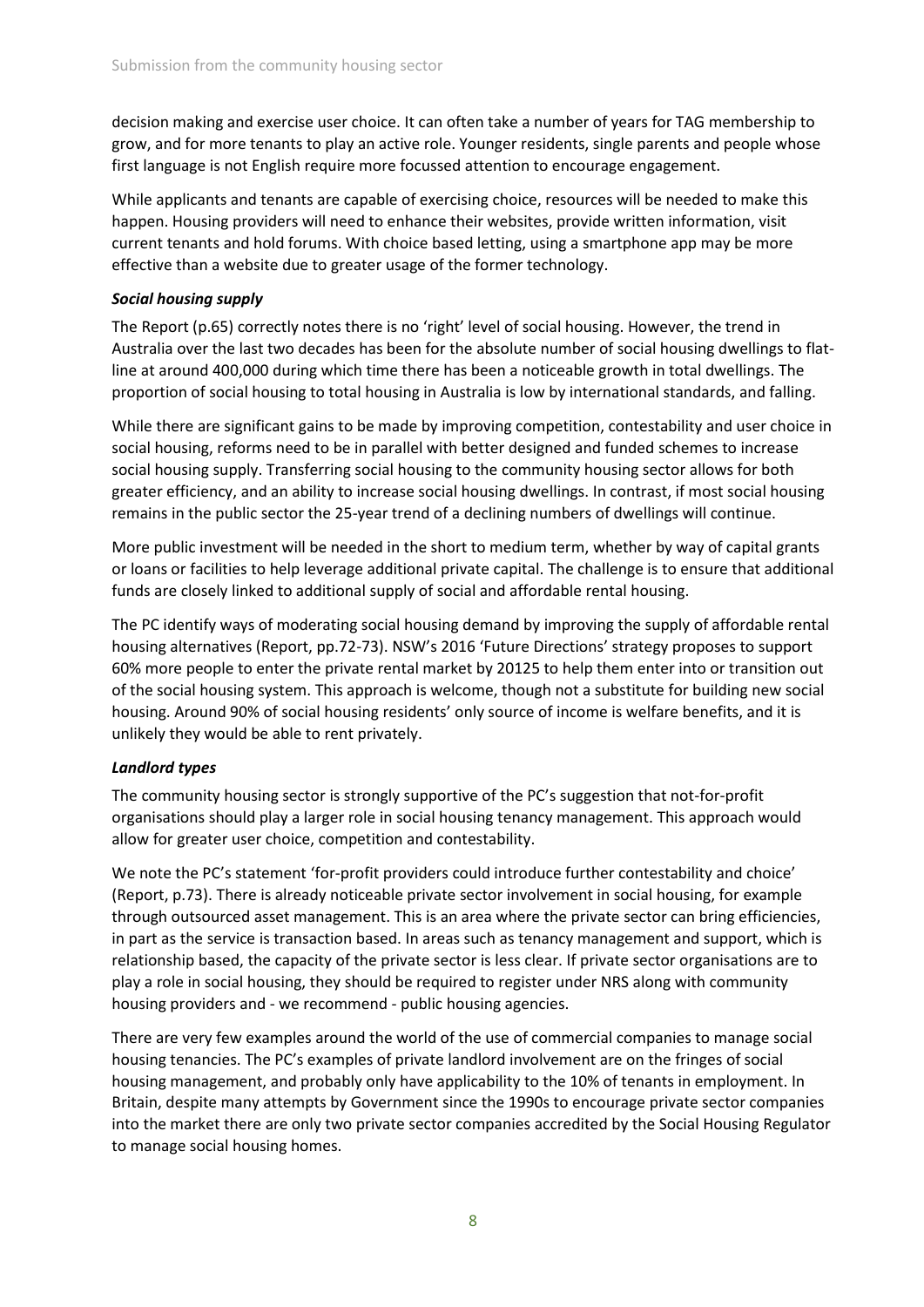decision making and exercise user choice. It can often take a number of years for TAG membership to grow, and for more tenants to play an active role. Younger residents, single parents and people whose first language is not English require more focussed attention to encourage engagement.

While applicants and tenants are capable of exercising choice, resources will be needed to make this happen. Housing providers will need to enhance their websites, provide written information, visit current tenants and hold forums. With choice based letting, using a smartphone app may be more effective than a website due to greater usage of the former technology.

#### *Social housing supply*

The Report (p.65) correctly notes there is no 'right' level of social housing. However, the trend in Australia over the last two decades has been for the absolute number of social housing dwellings to flatline at around 400,000 during which time there has been a noticeable growth in total dwellings. The proportion of social housing to total housing in Australia is low by international standards, and falling.

While there are significant gains to be made by improving competition, contestability and user choice in social housing, reforms need to be in parallel with better designed and funded schemes to increase social housing supply. Transferring social housing to the community housing sector allows for both greater efficiency, and an ability to increase social housing dwellings. In contrast, if most social housing remains in the public sector the 25-year trend of a declining numbers of dwellings will continue.

More public investment will be needed in the short to medium term, whether by way of capital grants or loans or facilities to help leverage additional private capital. The challenge is to ensure that additional funds are closely linked to additional supply of social and affordable rental housing.

The PC identify ways of moderating social housing demand by improving the supply of affordable rental housing alternatives (Report, pp.72-73). NSW's 2016 'Future Directions' strategy proposes to support 60% more people to enter the private rental market by 20125 to help them enter into or transition out of the social housing system. This approach is welcome, though not a substitute for building new social housing. Around 90% of social housing residents' only source of income is welfare benefits, and it is unlikely they would be able to rent privately.

#### *Landlord types*

The community housing sector is strongly supportive of the PC's suggestion that not-for-profit organisations should play a larger role in social housing tenancy management. This approach would allow for greater user choice, competition and contestability.

We note the PC's statement 'for-profit providers could introduce further contestability and choice' (Report, p.73). There is already noticeable private sector involvement in social housing, for example through outsourced asset management. This is an area where the private sector can bring efficiencies, in part as the service is transaction based. In areas such as tenancy management and support, which is relationship based, the capacity of the private sector is less clear. If private sector organisations are to play a role in social housing, they should be required to register under NRS along with community housing providers and - we recommend - public housing agencies.

There are very few examples around the world of the use of commercial companies to manage social housing tenancies. The PC's examples of private landlord involvement are on the fringes of social housing management, and probably only have applicability to the 10% of tenants in employment. In Britain, despite many attempts by Government since the 1990s to encourage private sector companies into the market there are only two private sector companies accredited by the Social Housing Regulator to manage social housing homes.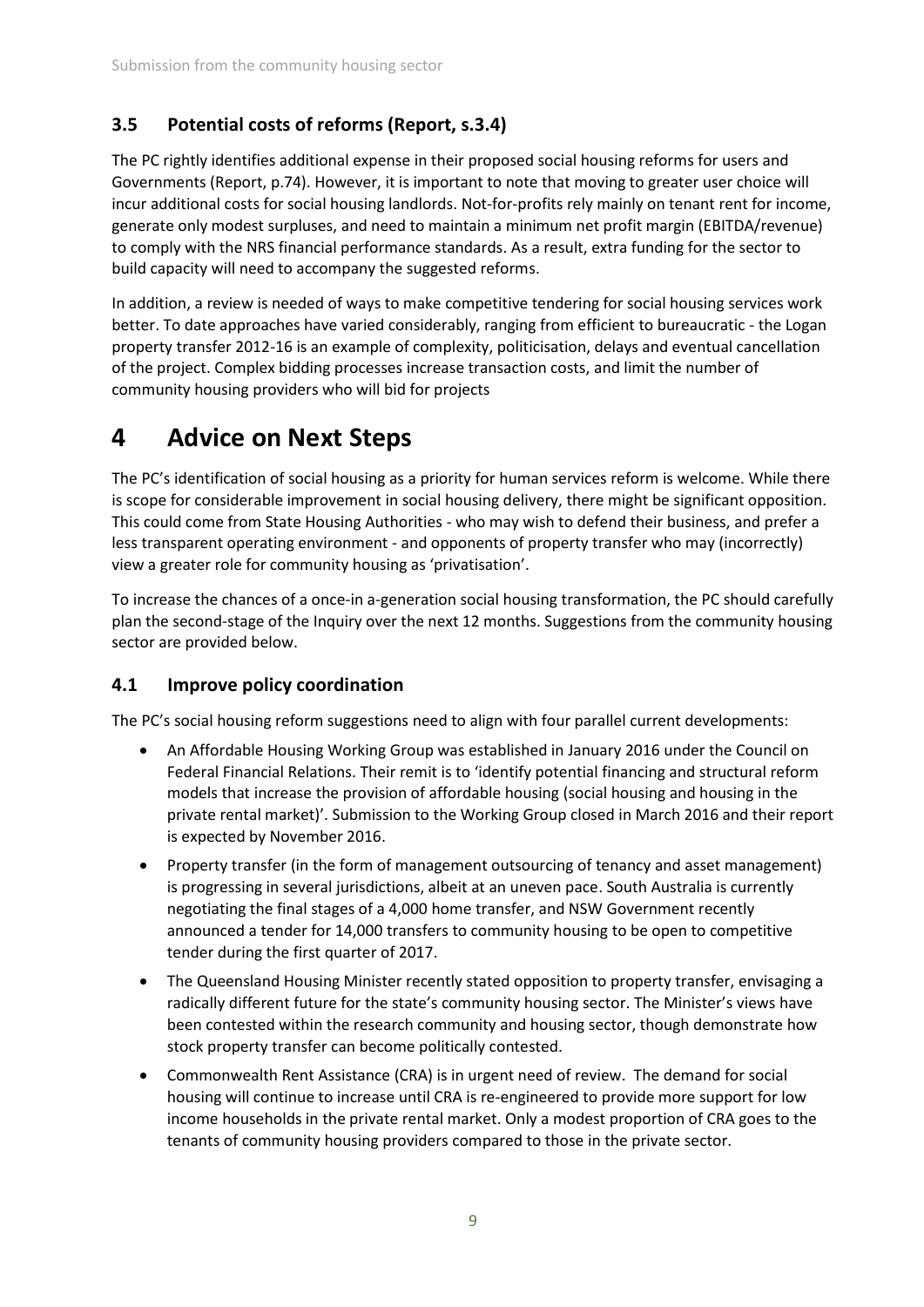## **3.5 Potential costs of reforms (Report, s.3.4)**

The PC rightly identifies additional expense in their proposed social housing reforms for users and Governments (Report, p.74). However, it is important to note that moving to greater user choice will incur additional costs for social housing landlords. Not-for-profits rely mainly on tenant rent for income, generate only modest surpluses, and need to maintain a minimum net profit margin (EBITDA/revenue) to comply with the NRS financial performance standards. As a result, extra funding for the sector to build capacity will need to accompany the suggested reforms.

In addition, a review is needed of ways to make competitive tendering for social housing services work better. To date approaches have varied considerably, ranging from efficient to bureaucratic - the Logan property transfer 2012-16 is an example of complexity, politicisation, delays and eventual cancellation of the project. Complex bidding processes increase transaction costs, and limit the number of community housing providers who will bid for projects

## **4 Advice on Next Steps**

The PC's identification of social housing as a priority for human services reform is welcome. While there is scope for considerable improvement in social housing delivery, there might be significant opposition. This could come from State Housing Authorities - who may wish to defend their business, and prefer a less transparent operating environment - and opponents of property transfer who may (incorrectly) view a greater role for community housing as 'privatisation'.

To increase the chances of a once-in a-generation social housing transformation, the PC should carefully plan the second-stage of the Inquiry over the next 12 months. Suggestions from the community housing sector are provided below.

### **4.1 Improve policy coordination**

The PC's social housing reform suggestions need to align with four parallel current developments:

- An Affordable Housing Working Group was established in January 2016 under the Council on Federal Financial Relations. Their remit is to 'identify potential financing and structural reform models that increase the provision of affordable housing (social housing and housing in the private rental market)'. Submission to the Working Group closed in March 2016 and their report is expected by November 2016.
- Property transfer (in the form of management outsourcing of tenancy and asset management) is progressing in several jurisdictions, albeit at an uneven pace. South Australia is currently negotiating the final stages of a 4,000 home transfer, and NSW Government recently announced a tender for 14,000 transfers to community housing to be open to competitive tender during the first quarter of 2017.
- The Queensland Housing Minister recently stated opposition to property transfer, envisaging a radically different future for the state's community housing sector. The Minister's views have been contested within the research community and housing sector, though demonstrate how stock property transfer can become politically contested.
- Commonwealth Rent Assistance (CRA) is in urgent need of review. The demand for social housing will continue to increase until CRA is re-engineered to provide more support for low income households in the private rental market. Only a modest proportion of CRA goes to the tenants of community housing providers compared to those in the private sector.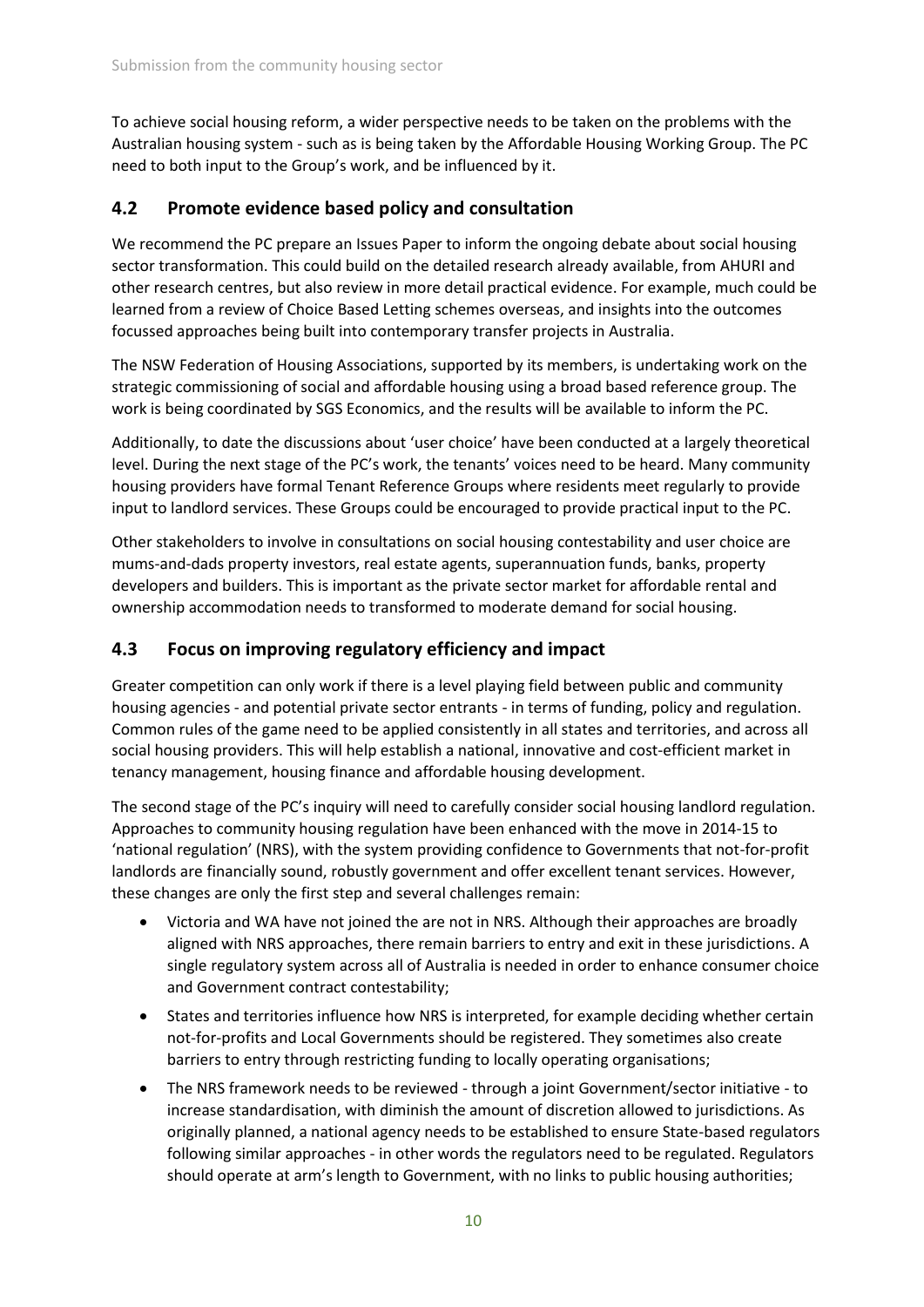To achieve social housing reform, a wider perspective needs to be taken on the problems with the Australian housing system - such as is being taken by the Affordable Housing Working Group. The PC need to both input to the Group's work, and be influenced by it.

### **4.2 Promote evidence based policy and consultation**

We recommend the PC prepare an Issues Paper to inform the ongoing debate about social housing sector transformation. This could build on the detailed research already available, from AHURI and other research centres, but also review in more detail practical evidence. For example, much could be learned from a review of Choice Based Letting schemes overseas, and insights into the outcomes focussed approaches being built into contemporary transfer projects in Australia.

The NSW Federation of Housing Associations, supported by its members, is undertaking work on the strategic commissioning of social and affordable housing using a broad based reference group. The work is being coordinated by SGS Economics, and the results will be available to inform the PC.

Additionally, to date the discussions about 'user choice' have been conducted at a largely theoretical level. During the next stage of the PC's work, the tenants' voices need to be heard. Many community housing providers have formal Tenant Reference Groups where residents meet regularly to provide input to landlord services. These Groups could be encouraged to provide practical input to the PC.

Other stakeholders to involve in consultations on social housing contestability and user choice are mums-and-dads property investors, real estate agents, superannuation funds, banks, property developers and builders. This is important as the private sector market for affordable rental and ownership accommodation needs to transformed to moderate demand for social housing.

### **4.3 Focus on improving regulatory efficiency and impact**

Greater competition can only work if there is a level playing field between public and community housing agencies - and potential private sector entrants - in terms of funding, policy and regulation. Common rules of the game need to be applied consistently in all states and territories, and across all social housing providers. This will help establish a national, innovative and cost-efficient market in tenancy management, housing finance and affordable housing development.

The second stage of the PC's inquiry will need to carefully consider social housing landlord regulation. Approaches to community housing regulation have been enhanced with the move in 2014-15 to 'national regulation' (NRS), with the system providing confidence to Governments that not-for-profit landlords are financially sound, robustly government and offer excellent tenant services. However, these changes are only the first step and several challenges remain:

- Victoria and WA have not joined the are not in NRS. Although their approaches are broadly aligned with NRS approaches, there remain barriers to entry and exit in these jurisdictions. A single regulatory system across all of Australia is needed in order to enhance consumer choice and Government contract contestability;
- States and territories influence how NRS is interpreted, for example deciding whether certain not-for-profits and Local Governments should be registered. They sometimes also create barriers to entry through restricting funding to locally operating organisations;
- The NRS framework needs to be reviewed through a joint Government/sector initiative to increase standardisation, with diminish the amount of discretion allowed to jurisdictions. As originally planned, a national agency needs to be established to ensure State-based regulators following similar approaches - in other words the regulators need to be regulated. Regulators should operate at arm's length to Government, with no links to public housing authorities;